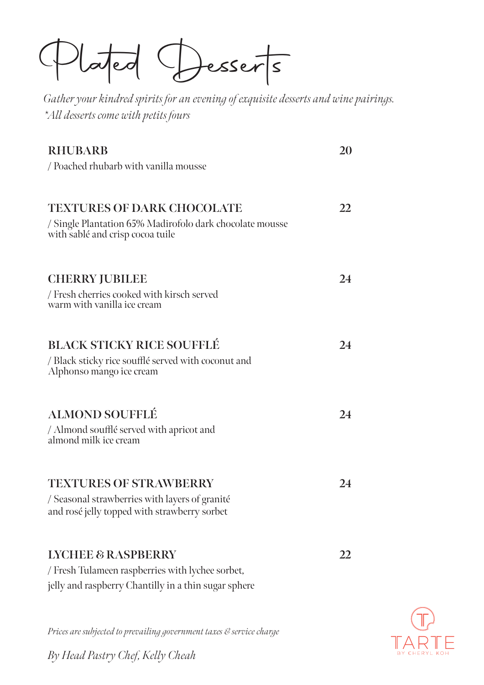Pled Deerts

*Gather your kindred spirits for an evening of exquisite desserts and wine pairings. \*All desserts come with petits fours*

| <b>RHUBARB</b><br>/ Poached rhubarb with vanilla mousse                                                                                   | 20 |
|-------------------------------------------------------------------------------------------------------------------------------------------|----|
| <b>TEXTURES OF DARK CHOCOLATE</b><br>/ Single Plantation 65% Madirofolo dark chocolate mousse<br>with sablé and crisp cocoa tuile         | 22 |
| <b>CHERRY JUBILEE</b><br>/ Fresh cherries cooked with kirsch served<br>warm with vanilla ice cream                                        | 24 |
| <b>BLACK STICKY RICE SOUFFLÉ</b><br>/ Black sticky rice soufflé served with coconut and<br>Alphonso mango ice cream                       | 24 |
| <b>ALMOND SOUFFLÉ</b><br>/ Almond soufflé served with apricot and<br>almond milk ice cream                                                | 24 |
| <b>TEXTURES OF STRAWBERRY</b><br>/ Seasonal strawberries with layers of granité<br>and rosé jelly topped with strawberry sorbet           | 24 |
| <b>LYCHEE &amp; RASPBERRY</b><br>/ Fresh Tulameen raspberries with lychee sorbet,<br>jelly and raspberry Chantilly in a thin sugar sphere | 22 |



*Prices are subjected to prevailing government taxes & service charge*

*By Head Pastry Chef, Kelly Cheah*